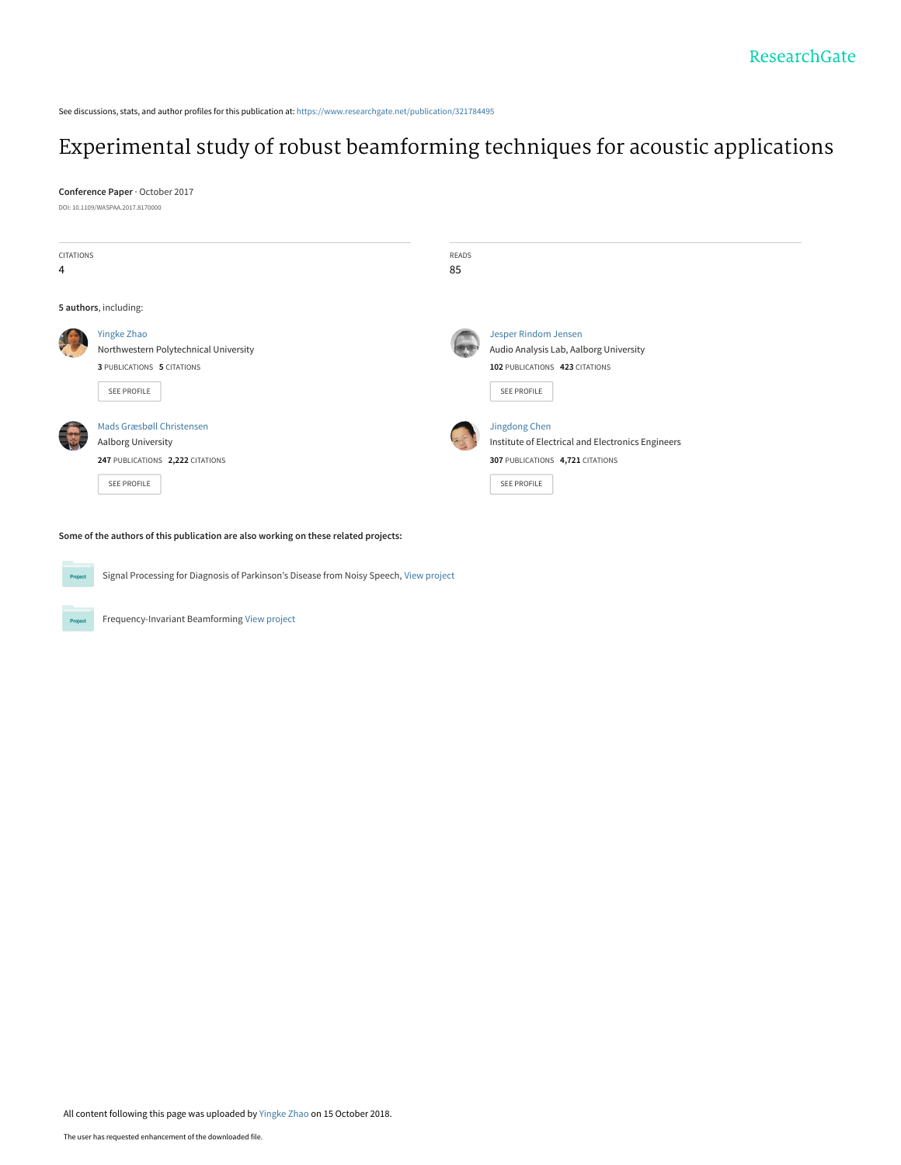See discussions, stats, and author profiles for this publication at: [https://www.researchgate.net/publication/321784495](https://www.researchgate.net/publication/321784495_Experimental_study_of_robust_beamforming_techniques_for_acoustic_applications?enrichId=rgreq-e929915ea3029293c3cd0461cb7e3644-XXX&enrichSource=Y292ZXJQYWdlOzMyMTc4NDQ5NTtBUzo2ODIwMDM4MTcwNTAxMTVAMTUzOTYxMzc4OTY5Mg%3D%3D&el=1_x_2&_esc=publicationCoverPdf)

# [Experimental study of robust beamforming techniques for acoustic applications](https://www.researchgate.net/publication/321784495_Experimental_study_of_robust_beamforming_techniques_for_acoustic_applications?enrichId=rgreq-e929915ea3029293c3cd0461cb7e3644-XXX&enrichSource=Y292ZXJQYWdlOzMyMTc4NDQ5NTtBUzo2ODIwMDM4MTcwNTAxMTVAMTUzOTYxMzc4OTY5Mg%3D%3D&el=1_x_3&_esc=publicationCoverPdf)

**Conference Paper** · October 2017

DOI: 10.1109/WASPAA.2017.8170000



**Some of the authors of this publication are also working on these related projects:**

Signal Processing for Diagnosis of Parkinson's Disease from Noisy Speech, [View project](https://www.researchgate.net/project/Signal-Processing-for-Diagnosis-of-Parkinsons-Disease-from-Noisy-Speech?enrichId=rgreq-e929915ea3029293c3cd0461cb7e3644-XXX&enrichSource=Y292ZXJQYWdlOzMyMTc4NDQ5NTtBUzo2ODIwMDM4MTcwNTAxMTVAMTUzOTYxMzc4OTY5Mg%3D%3D&el=1_x_9&_esc=publicationCoverPdf) Project

Frequency-Invariant Beamforming [View project](https://www.researchgate.net/project/Frequency-Invariant-Beamforming-2?enrichId=rgreq-e929915ea3029293c3cd0461cb7e3644-XXX&enrichSource=Y292ZXJQYWdlOzMyMTc4NDQ5NTtBUzo2ODIwMDM4MTcwNTAxMTVAMTUzOTYxMzc4OTY5Mg%3D%3D&el=1_x_9&_esc=publicationCoverPdf)

**Project**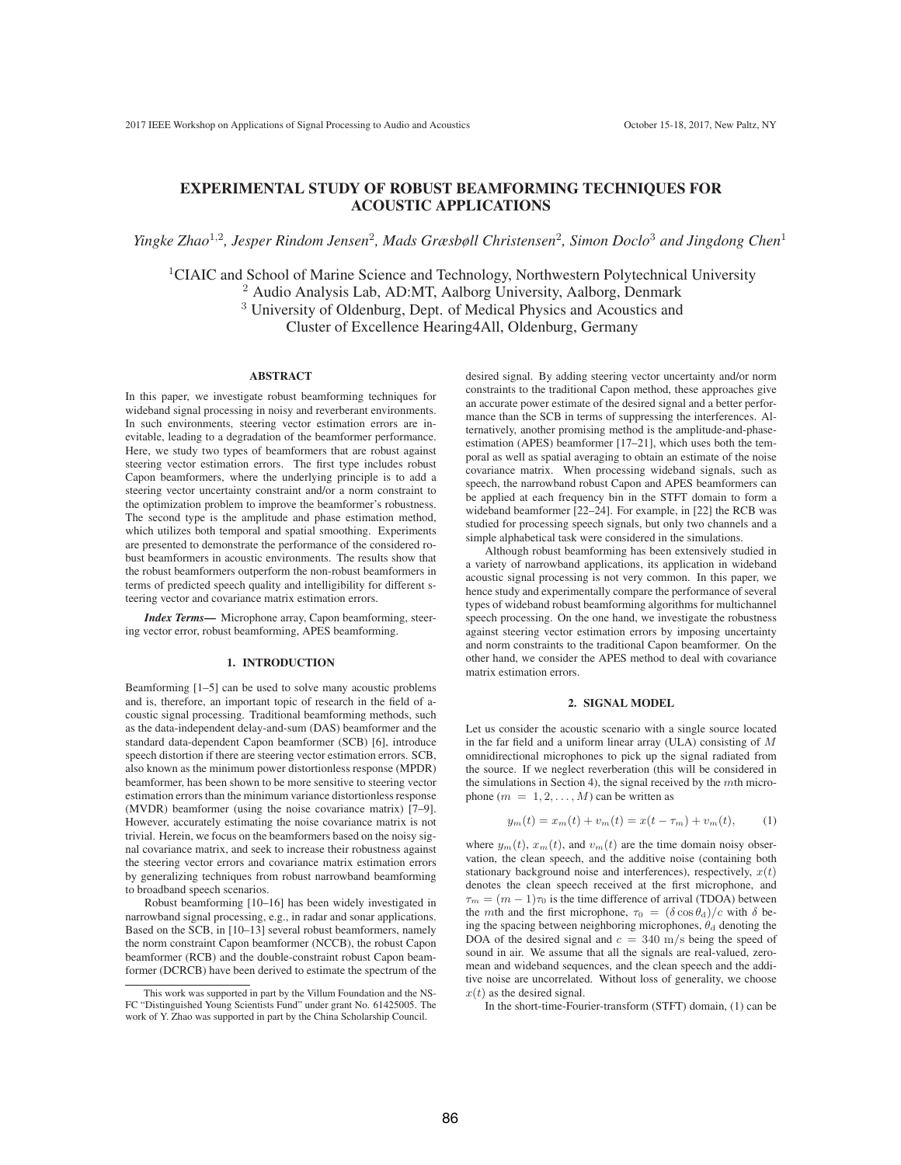## EXPERIMENTAL STUDY OF ROBUST BEAMFORMING TECHNIQUES FOR ACOUSTIC APPLICATIONS

*Yingke Zhao*<sup>1</sup>,<sup>2</sup>*, Jesper Rindom Jensen*<sup>2</sup>*, Mads Græsbøll Christensen*<sup>2</sup>*, Simon Doclo*<sup>3</sup> *and Jingdong Chen*<sup>1</sup>

<sup>1</sup>CIAIC and School of Marine Science and Technology, Northwestern Polytechnical University <sup>2</sup> Audio Analysis Lab, AD:MT, Aalborg University, Aalborg, Denmark <sup>3</sup> University of Oldenburg, Dept. of Medical Physics and Acoustics and Cluster of Excellence Hearing4All, Oldenburg, Germany

## ABSTRACT

In this paper, we investigate robust beamforming techniques for wideband signal processing in noisy and reverberant environments. In such environments, steering vector estimation errors are inevitable, leading to a degradation of the beamformer performance. Here, we study two types of beamformers that are robust against steering vector estimation errors. The first type includes robust Capon beamformers, where the underlying principle is to add a steering vector uncertainty constraint and/or a norm constraint to the optimization problem to improve the beamformer's robustness. The second type is the amplitude and phase estimation method, which utilizes both temporal and spatial smoothing. Experiments are presented to demonstrate the performance of the considered robust beamformers in acoustic environments. The results show that the robust beamformers outperform the non-robust beamformers in terms of predicted speech quality and intelligibility for different steering vector and covariance matrix estimation errors.

*Index Terms*— Microphone array, Capon beamforming, steering vector error, robust beamforming, APES beamforming.

## 1. INTRODUCTION

Beamforming [1–5] can be used to solve many acoustic problems and is, therefore, an important topic of research in the field of acoustic signal processing. Traditional beamforming methods, such as the data-independent delay-and-sum (DAS) beamformer and the standard data-dependent Capon beamformer (SCB) [6], introduce speech distortion if there are steering vector estimation errors. SCB, also known as the minimum power distortionless response (MPDR) beamformer, has been shown to be more sensitive to steering vector estimation errors than the minimum variance distortionless response (MVDR) beamformer (using the noise covariance matrix) [7–9]. However, accurately estimating the noise covariance matrix is not trivial. Herein, we focus on the beamformers based on the noisy signal covariance matrix, and seek to increase their robustness against the steering vector errors and covariance matrix estimation errors by generalizing techniques from robust narrowband beamforming to broadband speech scenarios.

Robust beamforming [10–16] has been widely investigated in narrowband signal processing, e.g., in radar and sonar applications. Based on the SCB, in [10–13] several robust beamformers, namely the norm constraint Capon beamformer (NCCB), the robust Capon beamformer (RCB) and the double-constraint robust Capon beamformer (DCRCB) have been derived to estimate the spectrum of the

desired signal. By adding steering vector uncertainty and/or norm constraints to the traditional Capon method, these approaches give an accurate power estimate of the desired signal and a better performance than the SCB in terms of suppressing the interferences. Alternatively, another promising method is the amplitude-and-phaseestimation (APES) beamformer [17–21], which uses both the temporal as well as spatial averaging to obtain an estimate of the noise covariance matrix. When processing wideband signals, such as speech, the narrowband robust Capon and APES beamformers can be applied at each frequency bin in the STFT domain to form a wideband beamformer [22–24]. For example, in [22] the RCB was studied for processing speech signals, but only two channels and a simple alphabetical task were considered in the simulations.

Although robust beamforming has been extensively studied in a variety of narrowband applications, its application in wideband acoustic signal processing is not very common. In this paper, we hence study and experimentally compare the performance of several types of wideband robust beamforming algorithms for multichannel speech processing. On the one hand, we investigate the robustness against steering vector estimation errors by imposing uncertainty and norm constraints to the traditional Capon beamformer. On the other hand, we consider the APES method to deal with covariance matrix estimation errors.

## 2. SIGNAL MODEL

Let us consider the acoustic scenario with a single source located in the far field and a uniform linear array  $(ULA)$  consisting of M omnidirectional microphones to pick up the signal radiated from the source. If we neglect reverberation (this will be considered in the simulations in Section 4), the signal received by the mth microphone  $(m = 1, 2, \ldots, M)$  can be written as

$$
y_m(t) = x_m(t) + v_m(t) = x(t - \tau_m) + v_m(t), \qquad (1)
$$

where  $y_m(t)$ ,  $x_m(t)$ , and  $v_m(t)$  are the time domain noisy observation, the clean speech, and the additive noise (containing both stationary background noise and interferences), respectively,  $x(t)$ denotes the clean speech received at the first microphone, and  $\tau_m = (m-1)\tau_0$  is the time difference of arrival (TDOA) between the mth and the first microphone,  $\tau_0 = (\delta \cos \theta_d)/c$  with  $\delta$  being the spacing between neighboring microphones,  $\theta_d$  denoting the DOA of the desired signal and  $c = 340$  m/s being the speed of sound in air. We assume that all the signals are real-valued, zeromean and wideband sequences, and the clean speech and the additive noise are uncorrelated. Without loss of generality, we choose  $x(t)$  as the desired signal.

In the short-time-Fourier-transform (STFT) domain, (1) can be

This work was supported in part by the Villum Foundation and the NS-FC "Distinguished Young Scientists Fund" under grant No. 61425005. The work of Y. Zhao was supported in part by the China Scholarship Council.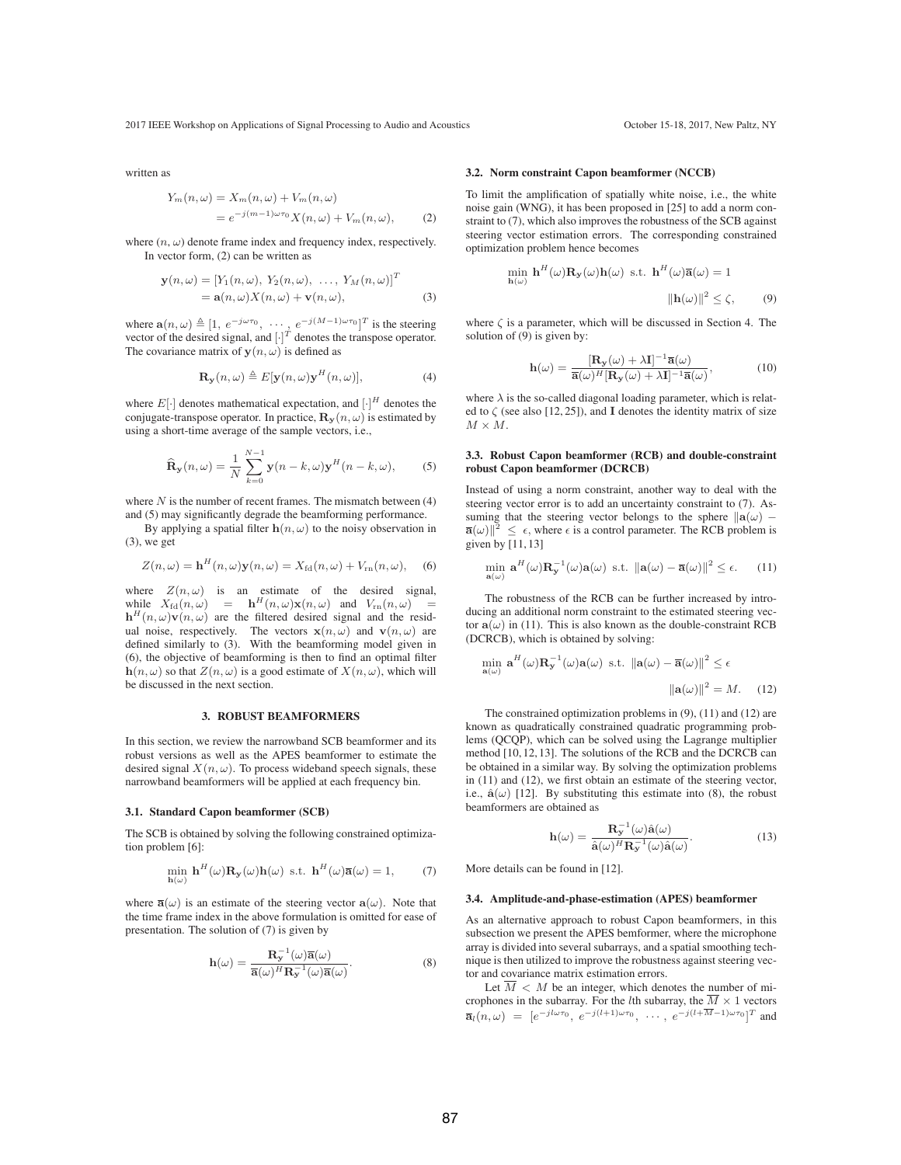2017 IEEE Workshop on Applications of Signal Processing to Audio and Acoustics October 15-18, 2017, New Paltz, NY

written as

$$
Y_m(n,\omega) = X_m(n,\omega) + V_m(n,\omega)
$$
  
=  $e^{-j(m-1)\omega \tau_0} X(n,\omega) + V_m(n,\omega),$  (2)

where  $(n, \omega)$  denote frame index and frequency index, respectively. In vector form, (2) can be written as

$$
\mathbf{y}(n,\omega) = \left[Y_1(n,\omega), Y_2(n,\omega), \dots, Y_M(n,\omega)\right]^T
$$
  
=  $\mathbf{a}(n,\omega)X(n,\omega) + \mathbf{v}(n,\omega),$  (3)

where  $\mathbf{a}(n,\omega) \triangleq [1, e^{-j\omega\tau_0}, \cdots, e^{-j(M-1)\omega\tau_0}]^T$  is the steering vector of the desired signal, and  $[1]^T$  denotes the transpose operator vector of the desired signal, and  $[\cdot]^{T}$  denotes the transpose operator. The covariance matrix of  $y(n, \omega)$  is defined as

$$
\mathbf{R}_{\mathbf{y}}(n,\omega) \triangleq E[\mathbf{y}(n,\omega)\mathbf{y}^{H}(n,\omega)], \tag{4}
$$

where  $E[\cdot]$  denotes mathematical expectation, and  $[\cdot]^H$  denotes the conjugate-transpose operator. In practice,  $\mathbf{R}_y(n,\omega)$  is estimated by using a short-time average of the sample vectors, i.e.,

$$
\widehat{\mathbf{R}}_{\mathbf{y}}(n,\omega) = \frac{1}{N} \sum_{k=0}^{N-1} \mathbf{y}(n-k,\omega) \mathbf{y}^{H}(n-k,\omega),
$$
 (5)

where  $N$  is the number of recent frames. The mismatch between  $(4)$ and (5) may significantly degrade the beamforming performance.

By applying a spatial filter  $h(n, \omega)$  to the noisy observation in (3), we get

$$
Z(n,\omega) = \mathbf{h}^{H}(n,\omega)\mathbf{y}(n,\omega) = X_{\text{fd}}(n,\omega) + V_{\text{rn}}(n,\omega), \quad (6)
$$

where  $Z(n, \omega)$  is an estimate of the desired signal, while  $X_{\text{fd}}(n, \omega) = \mathbf{h}^H(n, \omega) \mathbf{x}(n, \omega)$  and  $V_{\text{rn}}(n, \omega) =$ <br> $\mathbf{h}^H(n, \omega) \mathbf{v}(n, \omega)$  are the filtered desired signal and the resid- $\mathbf{h}^{H}(n,\omega)\mathbf{v}(n,\omega)$  are the filtered desired signal and the residual noise, respectively. The vectors  $\mathbf{x}(n,\omega)$  and  $\mathbf{v}(n,\omega)$  are defined similarly to (3). With the beamforming model given in (6), the objective of beamforming is then to find an optimal filter  $h(n, \omega)$  so that  $Z(n, \omega)$  is a good estimate of  $X(n, \omega)$ , which will be discussed in the next section.

#### 3. ROBUST BEAMFORMERS

In this section, we review the narrowband SCB beamformer and its robust versions as well as the APES beamformer to estimate the desired signal  $X(n, \omega)$ . To process wideband speech signals, these narrowband beamformers will be applied at each frequency bin.

#### 3.1. Standard Capon beamformer (SCB)

The SCB is obtained by solving the following constrained optimization problem [6]:

$$
\min_{\mathbf{h}(\omega)} \mathbf{h}^{H}(\omega) \mathbf{R}_{\mathbf{y}}(\omega) \mathbf{h}(\omega) \text{ s.t. } \mathbf{h}^{H}(\omega) \overline{\mathbf{a}}(\omega) = 1, \quad (7)
$$

where  $\overline{\mathbf{a}}(\omega)$  is an estimate of the steering vector  $\mathbf{a}(\omega)$ . Note that the time frame index in the above formulation is omitted for ease of presentation. The solution of (7) is given by

$$
h(\omega) = \frac{R_{y}^{-1}(\omega)\overline{a}(\omega)}{\overline{a}(\omega)^{H}R_{y}^{-1}(\omega)\overline{a}(\omega)}.
$$
\n(8)

## 3.2. Norm constraint Capon beamformer (NCCB)

To limit the amplification of spatially white noise, i.e., the white noise gain (WNG), it has been proposed in [25] to add a norm constraint to (7), which also improves the robustness of the SCB against steering vector estimation errors. The corresponding constrained optimization problem hence becomes

$$
\min_{\mathbf{h}(\omega)} \mathbf{h}^{H}(\omega) \mathbf{R}_{\mathbf{y}}(\omega) \mathbf{h}(\omega) \text{ s.t. } \mathbf{h}^{H}(\omega) \overline{\mathbf{a}}(\omega) = 1
$$

$$
||\mathbf{h}(\omega)||^{2} \leq \zeta, \qquad (9)
$$

where  $\zeta$  is a parameter, which will be discussed in Section 4. The solution of (9) is given by:

$$
\mathbf{h}(\omega) = \frac{[\mathbf{R}_{\mathbf{y}}(\omega) + \lambda \mathbf{I}]^{-1} \overline{\mathbf{a}}(\omega)}{\overline{\mathbf{a}}(\omega)^H [\mathbf{R}_{\mathbf{y}}(\omega) + \lambda \mathbf{I}]^{-1} \overline{\mathbf{a}}(\omega)},
$$
(10)

where  $\lambda$  is the so-called diagonal loading parameter, which is related to  $\zeta$  (see also [12, 25]), and **I** denotes the identity matrix of size  $M \times M$ 

## 3.3. Robust Capon beamformer (RCB) and double-constraint robust Capon beamformer (DCRCB)

Instead of using a norm constraint, another way to deal with the steering vector error is to add an uncertainty constraint to (7). Assuming that the steering vector belongs to the sphere  $\|\mathbf{a}(\omega) - \mathbf{a}(\omega)\|^2 \le \epsilon$  where  $\epsilon$  is a control parameter. The RCB problem is  $\overline{\mathbf{a}}(\omega)\|^2 \leq \epsilon$ , where  $\epsilon$  is a control parameter. The RCB problem is given by [11-13] given by [11, 13]

$$
\min_{\mathbf{a}(\omega)} \mathbf{a}^{H}(\omega) \mathbf{R}_{\mathbf{y}}^{-1}(\omega) \mathbf{a}(\omega) \text{ s.t. } ||\mathbf{a}(\omega) - \overline{\mathbf{a}}(\omega)||^{2} \leq \epsilon. \tag{11}
$$

The robustness of the RCB can be further increased by introducing an additional norm constraint to the estimated steering vector  $a(\omega)$  in (11). This is also known as the double-constraint RCB (DCRCB), which is obtained by solving:

$$
\min_{\mathbf{a}(\omega)} \mathbf{a}^{H}(\omega) \mathbf{R}_{\mathbf{y}}^{-1}(\omega) \mathbf{a}(\omega) \text{ s.t. } \|\mathbf{a}(\omega) - \overline{\mathbf{a}}(\omega)\|^{2} \le \epsilon
$$

$$
\|\mathbf{a}(\omega)\|^{2} = M. \quad (12)
$$

The constrained optimization problems in (9), (11) and (12) are known as quadratically constrained quadratic programming problems (QCQP), which can be solved using the Lagrange multiplier method [10, 12, 13]. The solutions of the RCB and the DCRCB can be obtained in a similar way. By solving the optimization problems in (11) and (12), we first obtain an estimate of the steering vector, i.e.,  $\hat{\mathbf{a}}(\omega)$  [12]. By substituting this estimate into (8), the robust beamformers are obtained as

$$
\mathbf{h}(\omega) = \frac{\mathbf{R}_{\mathbf{y}}^{-1}(\omega)\hat{\mathbf{a}}(\omega)}{\hat{\mathbf{a}}(\omega)^H \mathbf{R}_{\mathbf{y}}^{-1}(\omega)\hat{\mathbf{a}}(\omega)}.
$$
(13)

More details can be found in [12].

#### 3.4. Amplitude-and-phase-estimation (APES) beamformer

As an alternative approach to robust Capon beamformers, in this subsection we present the APES bemformer, where the microphone array is divided into several subarrays, and a spatial smoothing technique is then utilized to improve the robustness against steering vector and covariance matrix estimation errors.

Let  $\overline{M}$  < M be an integer, which denotes the number of microphones in the subarray. For the *l*th subarray, the  $\overline{M} \times 1$  vectors  $\overline{\mathbf{a}}_l(n,\omega) = [e^{-jl\omega\tau_0}, e^{-j(l+1)\omega\tau_0}, \cdots, e^{-j(l+\overline{M}-1)\omega\tau_0}]^T$  and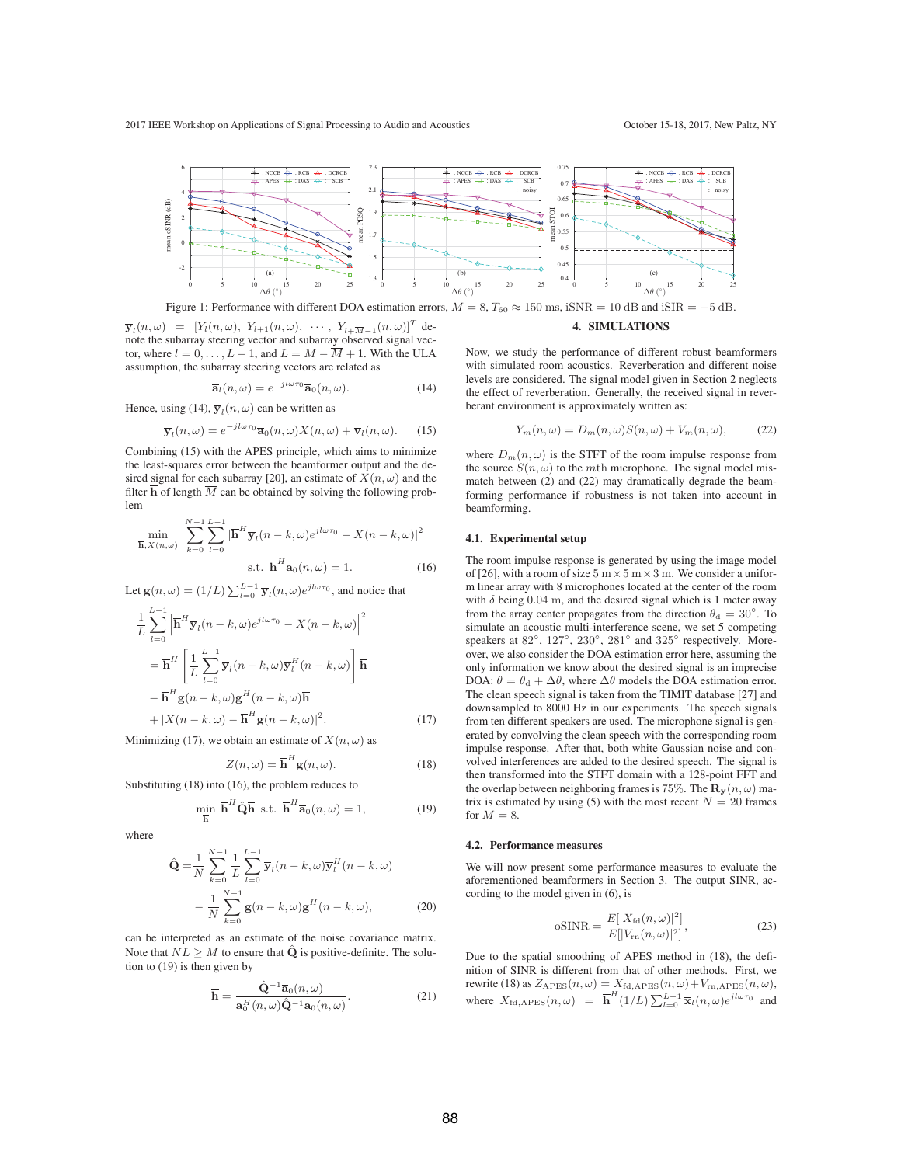

Figure 1: Performance with different DOA estimation errors,  $M = 8$ ,  $T_{60} \approx 150$  ms, iSNR = 10 dB and iSIR = −5 dB.

 $\overline{\mathbf{y}}_l(n,\omega) = [Y_l(n,\omega), Y_{l+1}(n,\omega), \cdots, Y_{l+\overline{M}-1}(n,\omega)]^T$  denote the subarray steering vector and subarray observed signal vector, where  $l = 0, \ldots, L - 1$ , and  $L = M - \overline{M} + 1$ . With the ULA assumption, the subarray steering vectors are related as

Hence, using (14),  $\overline{\mathbf{y}}_l(n,\omega)$  can be written as

$$
\overline{\mathbf{a}}_l(n,\omega) = e^{-jl\omega\tau_0} \overline{\mathbf{a}}_0(n,\omega).
$$
 (14)

$$
\overline{\mathbf{y}}_l(n,\omega) = e^{-jl\omega\tau_0} \overline{\mathbf{a}}_0(n,\omega) X(n,\omega) + \overline{\mathbf{v}}_l(n,\omega).
$$
 (15)

 $j_1, j_2$ 

Combining (15) with the APES principle, which aims to minimize the least-squares error between the beamformer output and the desired signal for each subarray [20], an estimate of  $\overline{X}(n,\omega)$  and the filter  $\overline{\mathbf{h}}$  of length  $\overline{M}$  can be obtained by solving the following problem

$$
\min_{\overline{\mathbf{h}}, X(n,\omega)} \sum_{k=0}^{N-1} \sum_{l=0}^{L-1} |\overline{\mathbf{h}}^H \overline{\mathbf{y}}_l(n-k,\omega) e^{j l \omega \tau_0} - X(n-k,\omega)|^2
$$
  
s.t. 
$$
\overline{\mathbf{h}}^H \overline{\mathbf{a}}_0(n,\omega) = 1.
$$
 (16)

Let  $\mathbf{g}(n,\omega) = (1/L) \sum_{l=0}^{L-1} \overline{\mathbf{y}}_l(n,\omega) e^{j l \omega \tau_0}$ , and notice that

$$
\frac{1}{L} \sum_{l=0}^{L-1} \left| \overline{\mathbf{h}}^H \overline{\mathbf{y}}_l(n-k,\omega) e^{jl\omega \tau_0} - X(n-k,\omega) \right|^2
$$
\n
$$
= \overline{\mathbf{h}}^H \left[ \frac{1}{L} \sum_{l=0}^{L-1} \overline{\mathbf{y}}_l(n-k,\omega) \overline{\mathbf{y}}_l^H(n-k,\omega) \right] \overline{\mathbf{h}}
$$
\n
$$
- \overline{\mathbf{h}}^H \mathbf{g}(n-k,\omega) \mathbf{g}^H(n-k,\omega) \overline{\mathbf{h}}
$$
\n
$$
+ |X(n-k,\omega) - \overline{\mathbf{h}}^H \mathbf{g}(n-k,\omega)|^2. \tag{17}
$$

Minimizing (17), we obtain an estimate of  $X(n, \omega)$  as

$$
Z(n,\omega) = \overline{\mathbf{h}}^H \mathbf{g}(n,\omega).
$$
 (18)

Substituting (18) into (16), the problem reduces to

min

$$
\lim_{\overline{\mathbf{h}}} \overline{\mathbf{h}}^H \hat{\mathbf{Q}} \overline{\mathbf{h}} \text{ s.t. } \overline{\mathbf{h}}^H \overline{\mathbf{a}}_0(n,\omega) = 1,
$$
 (19)

where

$$
\hat{\mathbf{Q}} = \frac{1}{N} \sum_{k=0}^{N-1} \frac{1}{L} \sum_{l=0}^{L-1} \overline{\mathbf{y}}_l (n-k, \omega) \overline{\mathbf{y}}_l^H (n-k, \omega) \n- \frac{1}{N} \sum_{k=0}^{N-1} \mathbf{g}(n-k, \omega) \mathbf{g}^H (n-k, \omega),
$$
\n(20)

can be interpreted as an estimate of the noise covariance matrix. Note that  $NL \geq M$  to ensure that  $\hat{Q}$  is positive-definite. The solution to (19) is then given by

$$
\overline{\mathbf{h}} = \frac{\hat{\mathbf{Q}}^{-1} \overline{\mathbf{a}}_0(n,\omega)}{\overline{\mathbf{a}}_0^H(n,\omega) \hat{\mathbf{Q}}^{-1} \overline{\mathbf{a}}_0(n,\omega)}.
$$
(21)

#### 4. SIMULATIONS

Now, we study the performance of different robust beamformers with simulated room acoustics. Reverberation and different noise levels are considered. The signal model given in Section 2 neglects the effect of reverberation. Generally, the received signal in reverberant environment is approximately written as:

$$
Y_m(n,\omega) = D_m(n,\omega)S(n,\omega) + V_m(n,\omega),\tag{22}
$$

where  $D_m(n,\omega)$  is the STFT of the room impulse response from the source  $S(n, \omega)$  to the mth microphone. The signal model mismatch between (2) and (22) may dramatically degrade the beamforming performance if robustness is not taken into account in beamforming.

## 4.1. Experimental setup

The room impulse response is generated by using the image model of [26], with a room of size  $5 \text{ m} \times 5 \text{ m} \times 3 \text{ m}$ . We consider a uniform linear array with 8 microphones located at the center of the room with  $\delta$  being 0.04 m, and the desired signal which is 1 meter away from the array center propagates from the direction  $\theta_d = 30^\circ$ . To simulate an acoustic multi-interference scene, we set 5 competing speakers at 82◦, 127◦, 230◦, 281◦ and 325◦ respectively. Moreover, we also consider the DOA estimation error here, assuming the only information we know about the desired signal is an imprecise DOA:  $\theta = \theta_d + \Delta\theta$ , where  $\Delta\theta$  models the DOA estimation error. The clean speech signal is taken from the TIMIT database [27] and downsampled to 8000 Hz in our experiments. The speech signals from ten different speakers are used. The microphone signal is generated by convolving the clean speech with the corresponding room impulse response. After that, both white Gaussian noise and convolved interferences are added to the desired speech. The signal is then transformed into the STFT domain with a 128-point FFT and the overlap between neighboring frames is 75%. The  $\mathbf{R}_{\mathbf{v}}(n,\omega)$  matrix is estimated by using (5) with the most recent  $N = 20$  frames for  $M = 8$ .

#### 4.2. Performance measures

We will now present some performance measures to evaluate the aforementioned beamformers in Section 3. The output SINR, according to the model given in (6), is

$$
oSINR = \frac{E[|X_{\text{fd}}(n,\omega)|^2]}{E[|V_{\text{rn}}(n,\omega)|^2]},
$$
\n(23)

Due to the spatial smoothing of APES method in (18), the definition of SINR is different from that of other methods. First, we rewrite (18) as  $Z_{\text{APES}}(n,\omega) = X_{\text{fd},\text{APES}}(n,\omega) + V_{\text{rn},\text{APES}}(n,\omega),$ where  $X_{\text{fd,APES}}(n,\omega) = \overline{\mathbf{h}}^H(1/L) \sum_{l=0}^{L-1} \overline{\mathbf{x}}_l(n,\omega) e^{jl\omega \tau_0}$  and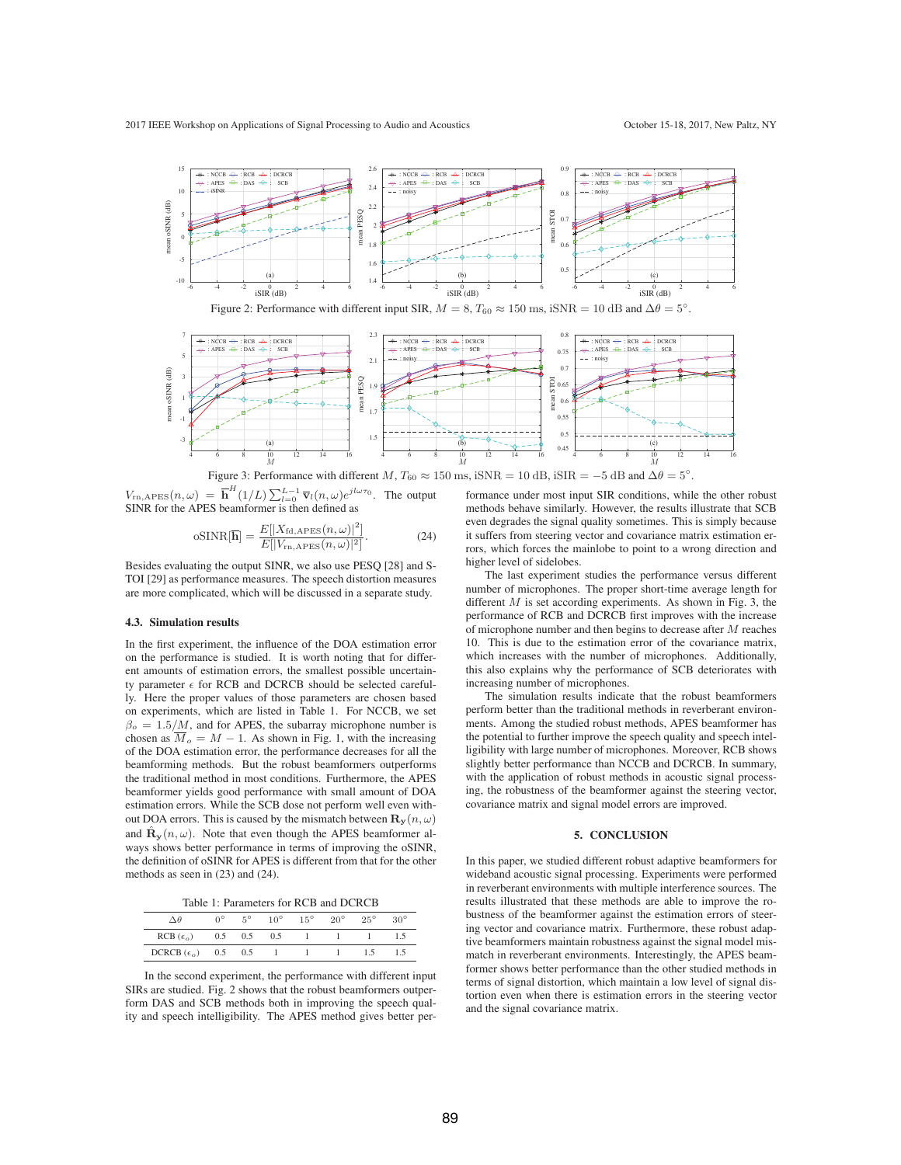

Figure 2: Performance with different input SIR,  $M = 8$ ,  $T_{60} \approx 150$  ms, iSNR = 10 dB and  $\Delta\theta = 5^\circ$ .



Figure 3: Performance with different  $M$ ,  $T_{60} \approx 150$  ms, iSNR = 10 dB, iSIR = −5 dB and  $\Delta\theta = 5^\circ$ .

 $V_{\text{rn,APES}}(n, \omega) = \overline{\mathbf{h}}^{H}(1/L) \sum_{l=0}^{L-1} \overline{\mathbf{v}}_{l}(n, \omega) e^{j l \omega \tau_{0}}$ . The output SINR for the APES beamformer is then defined as SINR for the APES beamformer is then defined as

$$
\text{oSINR}[\overline{\mathbf{h}}] = \frac{E[|X_{\text{fd},\text{APES}}(n,\omega)|^2]}{E[|V_{\text{rh},\text{APES}}(n,\omega)|^2]}.
$$
\n(24)

Besides evaluating the output SINR, we also use PESQ [28] and S-TOI [29] as performance measures. The speech distortion measures are more complicated, which will be discussed in a separate study.

#### 4.3. Simulation results

In the first experiment, the influence of the DOA estimation error on the performance is studied. It is worth noting that for different amounts of estimation errors, the smallest possible uncertainty parameter  $\epsilon$  for RCB and DCRCB should be selected carefully. Here the proper values of those parameters are chosen based on experiments, which are listed in Table 1. For NCCB, we set  $\beta_o = 1.5/M$ , and for APES, the subarray microphone number is chosen as  $\overline{M}_o = M - 1$ . As shown in Fig. 1, with the increasing of the DOA estimation error, the performance decreases for all the beamforming methods. But the robust beamformers outperforms the traditional method in most conditions. Furthermore, the APES beamformer yields good performance with small amount of DOA estimation errors. While the SCB dose not perform well even without DOA errors. This is caused by the mismatch between  $\mathbf{R}_{\mathbf{y}}(n,\omega)$ and  $\mathbf{\hat{R}}_{\mathbf{y}}(n,\omega)$ . Note that even though the APES beamformer always shows better performance in terms of improving the oSINR, the definition of oSINR for APES is different from that for the other methods as seen in (23) and (24).

Table 1: Parameters for RCB and DCRCB

| ١A                   |     | $5^{\circ}$ | $10^{\circ}$ | $15^{\circ}$ | $20^{\circ}$ | $25^{\circ}$ | $30^{\circ}$ |
|----------------------|-----|-------------|--------------|--------------|--------------|--------------|--------------|
| $RCB(\epsilon_o)$    | 0.5 | 0.5         | 0.5          |              |              |              |              |
| DCRCB $(\epsilon_o)$ | 0.5 | 0.5         |              |              |              |              |              |

In the second experiment, the performance with different input SIRs are studied. Fig. 2 shows that the robust beamformers outperform DAS and SCB methods both in improving the speech quality and speech intelligibility. The APES method gives better performance under most input SIR conditions, while the other robust methods behave similarly. However, the results illustrate that SCB even degrades the signal quality sometimes. This is simply because it suffers from steering vector and covariance matrix estimation errors, which forces the mainlobe to point to a wrong direction and higher level of sidelobes.

The last experiment studies the performance versus different number of microphones. The proper short-time average length for different  $M$  is set according experiments. As shown in Fig. 3, the performance of RCB and DCRCB first improves with the increase of microphone number and then begins to decrease after M reaches 10. This is due to the estimation error of the covariance matrix, which increases with the number of microphones. Additionally, this also explains why the performance of SCB deteriorates with increasing number of microphones.

The simulation results indicate that the robust beamformers perform better than the traditional methods in reverberant environments. Among the studied robust methods, APES beamformer has the potential to further improve the speech quality and speech intelligibility with large number of microphones. Moreover, RCB shows slightly better performance than NCCB and DCRCB. In summary, with the application of robust methods in acoustic signal processing, the robustness of the beamformer against the steering vector, covariance matrix and signal model errors are improved.

## 5. CONCLUSION

In this paper, we studied different robust adaptive beamformers for wideband acoustic signal processing. Experiments were performed in reverberant environments with multiple interference sources. The results illustrated that these methods are able to improve the robustness of the beamformer against the estimation errors of steering vector and covariance matrix. Furthermore, these robust adaptive beamformers maintain robustness against the signal model mismatch in reverberant environments. Interestingly, the APES beamformer shows better performance than the other studied methods in terms of signal distortion, which maintain a low level of signal distortion even when there is estimation errors in the steering vector and the signal covariance matrix.